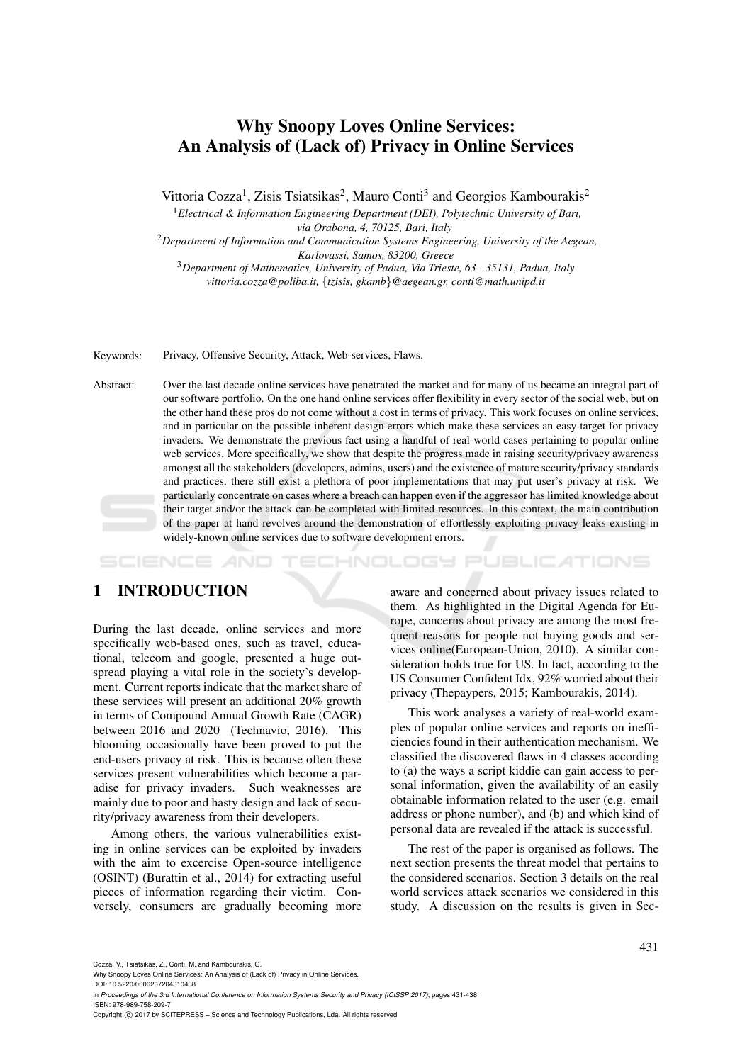# Why Snoopy Loves Online Services: An Analysis of (Lack of) Privacy in Online Services

Vittoria Cozza<sup>1</sup>, Zisis Tsiatsikas<sup>2</sup>, Mauro Conti<sup>3</sup> and Georgios Kambourakis<sup>2</sup>

<sup>1</sup>*Electrical & Information Engineering Department (DEI), Polytechnic University of Bari, via Orabona, 4, 70125, Bari, Italy*

<sup>2</sup>*Department of Information and Communication Systems Engineering, University of the Aegean, Karlovassi, Samos, 83200, Greece*

<sup>3</sup>*Department of Mathematics, University of Padua, Via Trieste, 63 - 35131, Padua, Italy vittoria.cozza@poliba.it,* {*tzisis, gkamb*}*@aegean.gr, conti@math.unipd.it*

Keywords: Privacy, Offensive Security, Attack, Web-services, Flaws.

Abstract: Over the last decade online services have penetrated the market and for many of us became an integral part of our software portfolio. On the one hand online services offer flexibility in every sector of the social web, but on the other hand these pros do not come without a cost in terms of privacy. This work focuses on online services, and in particular on the possible inherent design errors which make these services an easy target for privacy invaders. We demonstrate the previous fact using a handful of real-world cases pertaining to popular online web services. More specifically, we show that despite the progress made in raising security/privacy awareness amongst all the stakeholders (developers, admins, users) and the existence of mature security/privacy standards and practices, there still exist a plethora of poor implementations that may put user's privacy at risk. We particularly concentrate on cases where a breach can happen even if the aggressor has limited knowledge about their target and/or the attack can be completed with limited resources. In this context, the main contribution of the paper at hand revolves around the demonstration of effortlessly exploiting privacy leaks existing in widely-known online services due to software development errors.

**DGY PUBLICATIONS** SCIENCE HNIMI

## 1 INTRODUCTION

During the last decade, online services and more specifically web-based ones, such as travel, educational, telecom and google, presented a huge outspread playing a vital role in the society's development. Current reports indicate that the market share of these services will present an additional 20% growth in terms of Compound Annual Growth Rate (CAGR) between 2016 and 2020 (Technavio, 2016). This blooming occasionally have been proved to put the end-users privacy at risk. This is because often these services present vulnerabilities which become a paradise for privacy invaders. Such weaknesses are mainly due to poor and hasty design and lack of security/privacy awareness from their developers.

Among others, the various vulnerabilities existing in online services can be exploited by invaders with the aim to excercise Open-source intelligence (OSINT) (Burattin et al., 2014) for extracting useful pieces of information regarding their victim. Conversely, consumers are gradually becoming more

aware and concerned about privacy issues related to them. As highlighted in the Digital Agenda for Europe, concerns about privacy are among the most frequent reasons for people not buying goods and services online(European-Union, 2010). A similar consideration holds true for US. In fact, according to the US Consumer Confident Idx, 92% worried about their privacy (Thepaypers, 2015; Kambourakis, 2014).

This work analyses a variety of real-world examples of popular online services and reports on inefficiencies found in their authentication mechanism. We classified the discovered flaws in 4 classes according to (a) the ways a script kiddie can gain access to personal information, given the availability of an easily obtainable information related to the user (e.g. email address or phone number), and (b) and which kind of personal data are revealed if the attack is successful.

The rest of the paper is organised as follows. The next section presents the threat model that pertains to the considered scenarios. Section 3 details on the real world services attack scenarios we considered in this study. A discussion on the results is given in Sec-

Cozza, V., Tsiatsikas, Z., Conti, M. and Kambourakis, G.

DOI: 10.5220/0006207204310438

In *Proceedings of the 3rd International Conference on Information Systems Security and Privacy (ICISSP 2017)*, pages 431-438 ISBN: 978-989-758-209-7

Copyright © 2017 by SCITEPRESS - Science and Technology Publications, Lda. All rights reserved

Why Snoopy Loves Online Services: An Analysis of (Lack of) Privacy in Online Services.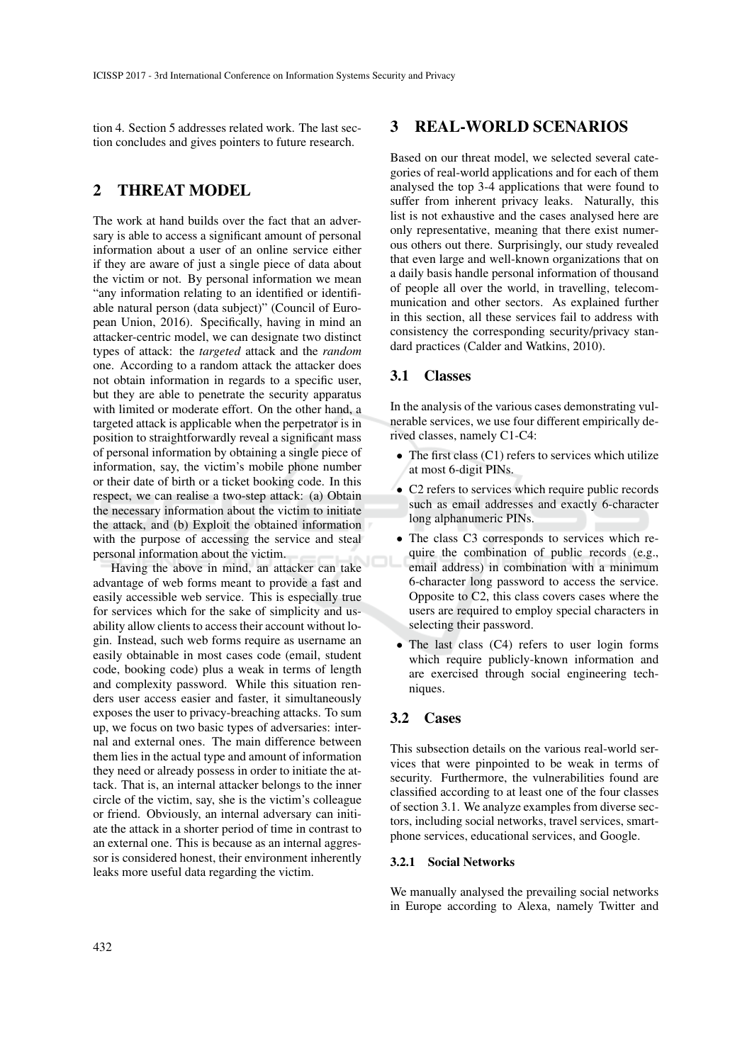tion 4. Section 5 addresses related work. The last section concludes and gives pointers to future research.

## 2 THREAT MODEL

The work at hand builds over the fact that an adversary is able to access a significant amount of personal information about a user of an online service either if they are aware of just a single piece of data about the victim or not. By personal information we mean "any information relating to an identified or identifiable natural person (data subject)" (Council of European Union, 2016). Specifically, having in mind an attacker-centric model, we can designate two distinct types of attack: the *targeted* attack and the *random* one. According to a random attack the attacker does not obtain information in regards to a specific user, but they are able to penetrate the security apparatus with limited or moderate effort. On the other hand, a targeted attack is applicable when the perpetrator is in position to straightforwardly reveal a significant mass of personal information by obtaining a single piece of information, say, the victim's mobile phone number or their date of birth or a ticket booking code. In this respect, we can realise a two-step attack: (a) Obtain the necessary information about the victim to initiate the attack, and (b) Exploit the obtained information with the purpose of accessing the service and steal personal information about the victim.

Having the above in mind, an attacker can take advantage of web forms meant to provide a fast and easily accessible web service. This is especially true for services which for the sake of simplicity and usability allow clients to access their account without login. Instead, such web forms require as username an easily obtainable in most cases code (email, student code, booking code) plus a weak in terms of length and complexity password. While this situation renders user access easier and faster, it simultaneously exposes the user to privacy-breaching attacks. To sum up, we focus on two basic types of adversaries: internal and external ones. The main difference between them lies in the actual type and amount of information they need or already possess in order to initiate the attack. That is, an internal attacker belongs to the inner circle of the victim, say, she is the victim's colleague or friend. Obviously, an internal adversary can initiate the attack in a shorter period of time in contrast to an external one. This is because as an internal aggressor is considered honest, their environment inherently leaks more useful data regarding the victim.

### 3 REAL-WORLD SCENARIOS

Based on our threat model, we selected several categories of real-world applications and for each of them analysed the top 3-4 applications that were found to suffer from inherent privacy leaks. Naturally, this list is not exhaustive and the cases analysed here are only representative, meaning that there exist numerous others out there. Surprisingly, our study revealed that even large and well-known organizations that on a daily basis handle personal information of thousand of people all over the world, in travelling, telecommunication and other sectors. As explained further in this section, all these services fail to address with consistency the corresponding security/privacy standard practices (Calder and Watkins, 2010).

### 3.1 Classes

In the analysis of the various cases demonstrating vulnerable services, we use four different empirically derived classes, namely C1-C4:

- The first class  $(C1)$  refers to services which utilize at most 6-digit PINs.
- C2 refers to services which require public records such as email addresses and exactly 6-character long alphanumeric PINs.
- The class C3 corresponds to services which require the combination of public records (e.g., email address) in combination with a minimum 6-character long password to access the service. Opposite to C2, this class covers cases where the users are required to employ special characters in selecting their password.
- The last class (C4) refers to user login forms which require publicly-known information and are exercised through social engineering techniques.

### 3.2 Cases

This subsection details on the various real-world services that were pinpointed to be weak in terms of security. Furthermore, the vulnerabilities found are classified according to at least one of the four classes of section 3.1. We analyze examples from diverse sectors, including social networks, travel services, smartphone services, educational services, and Google.

### 3.2.1 Social Networks

We manually analysed the prevailing social networks in Europe according to Alexa, namely Twitter and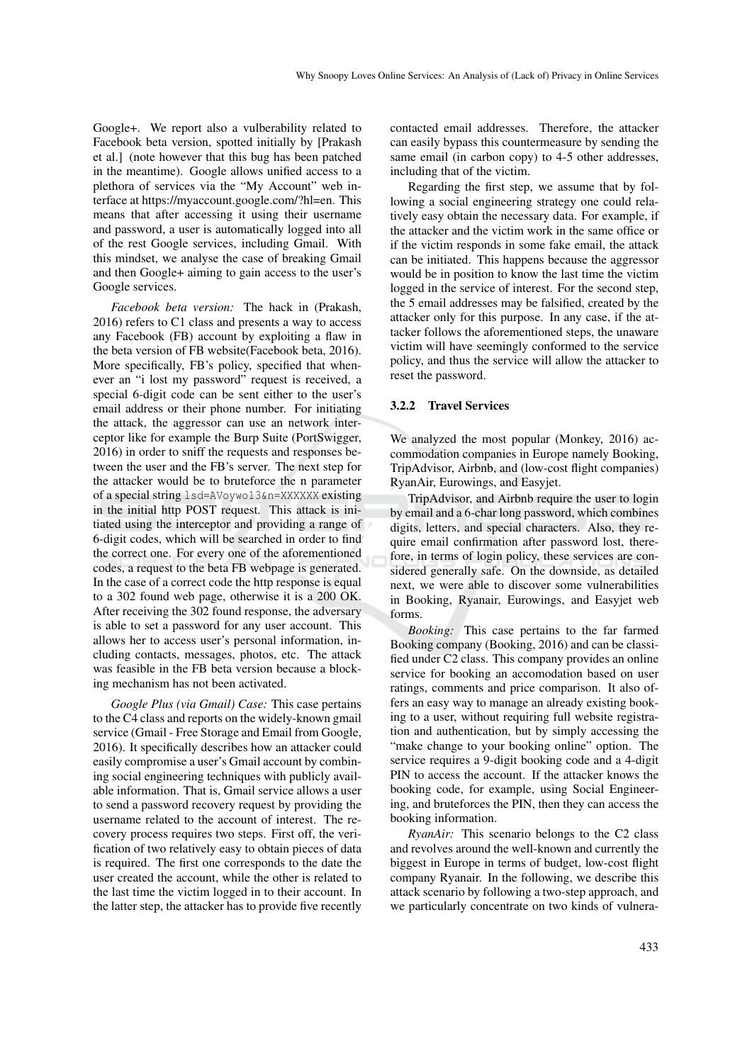Google+. We report also a vulberability related to Facebook beta version, spotted initially by [Prakash et al.] (note however that this bug has been patched in the meantime). Google allows unified access to a plethora of services via the "My Account" web interface at https://myaccount.google.com/?hl=en. This means that after accessing it using their username and password, a user is automatically logged into all of the rest Google services, including Gmail. With this mindset, we analyse the case of breaking Gmail and then Google+ aiming to gain access to the user's Google services.

*Facebook beta version:* The hack in (Prakash, 2016) refers to C1 class and presents a way to access any Facebook (FB) account by exploiting a flaw in the beta version of FB website(Facebook beta, 2016). More specifically, FB's policy, specified that whenever an "i lost my password" request is received, a special 6-digit code can be sent either to the user's email address or their phone number. For initiating the attack, the aggressor can use an network interceptor like for example the Burp Suite (PortSwigger, 2016) in order to sniff the requests and responses between the user and the FB's server. The next step for the attacker would be to bruteforce the n parameter of a special string lsd=AVoywo13&n=XXXXXX existing in the initial http POST request. This attack is initiated using the interceptor and providing a range of 6-digit codes, which will be searched in order to find the correct one. For every one of the aforementioned codes, a request to the beta FB webpage is generated. In the case of a correct code the http response is equal to a 302 found web page, otherwise it is a 200 OK. After receiving the 302 found response, the adversary is able to set a password for any user account. This allows her to access user's personal information, including contacts, messages, photos, etc. The attack was feasible in the FB beta version because a blocking mechanism has not been activated.

*Google Plus (via Gmail) Case:* This case pertains to the C4 class and reports on the widely-known gmail service (Gmail - Free Storage and Email from Google, 2016). It specifically describes how an attacker could easily compromise a user's Gmail account by combining social engineering techniques with publicly available information. That is, Gmail service allows a user to send a password recovery request by providing the username related to the account of interest. The recovery process requires two steps. First off, the verification of two relatively easy to obtain pieces of data is required. The first one corresponds to the date the user created the account, while the other is related to the last time the victim logged in to their account. In the latter step, the attacker has to provide five recently

contacted email addresses. Therefore, the attacker can easily bypass this countermeasure by sending the same email (in carbon copy) to 4-5 other addresses, including that of the victim.

Regarding the first step, we assume that by following a social engineering strategy one could relatively easy obtain the necessary data. For example, if the attacker and the victim work in the same office or if the victim responds in some fake email, the attack can be initiated. This happens because the aggressor would be in position to know the last time the victim logged in the service of interest. For the second step, the 5 email addresses may be falsified, created by the attacker only for this purpose. In any case, if the attacker follows the aforementioned steps, the unaware victim will have seemingly conformed to the service policy, and thus the service will allow the attacker to reset the password.

#### 3.2.2 Travel Services

We analyzed the most popular (Monkey, 2016) accommodation companies in Europe namely Booking, TripAdvisor, Airbnb, and (low-cost flight companies) RyanAir, Eurowings, and Easyjet.

TripAdvisor, and Airbnb require the user to login by email and a 6-char long password, which combines digits, letters, and special characters. Also, they require email confirmation after password lost, therefore, in terms of login policy, these services are considered generally safe. On the downside, as detailed next, we were able to discover some vulnerabilities in Booking, Ryanair, Eurowings, and Easyjet web forms.

*Booking:* This case pertains to the far farmed Booking company (Booking, 2016) and can be classified under C2 class. This company provides an online service for booking an accomodation based on user ratings, comments and price comparison. It also offers an easy way to manage an already existing booking to a user, without requiring full website registration and authentication, but by simply accessing the "make change to your booking online" option. The service requires a 9-digit booking code and a 4-digit PIN to access the account. If the attacker knows the booking code, for example, using Social Engineering, and bruteforces the PIN, then they can access the booking information.

*RyanAir:* This scenario belongs to the C2 class and revolves around the well-known and currently the biggest in Europe in terms of budget, low-cost flight company Ryanair. In the following, we describe this attack scenario by following a two-step approach, and we particularly concentrate on two kinds of vulnera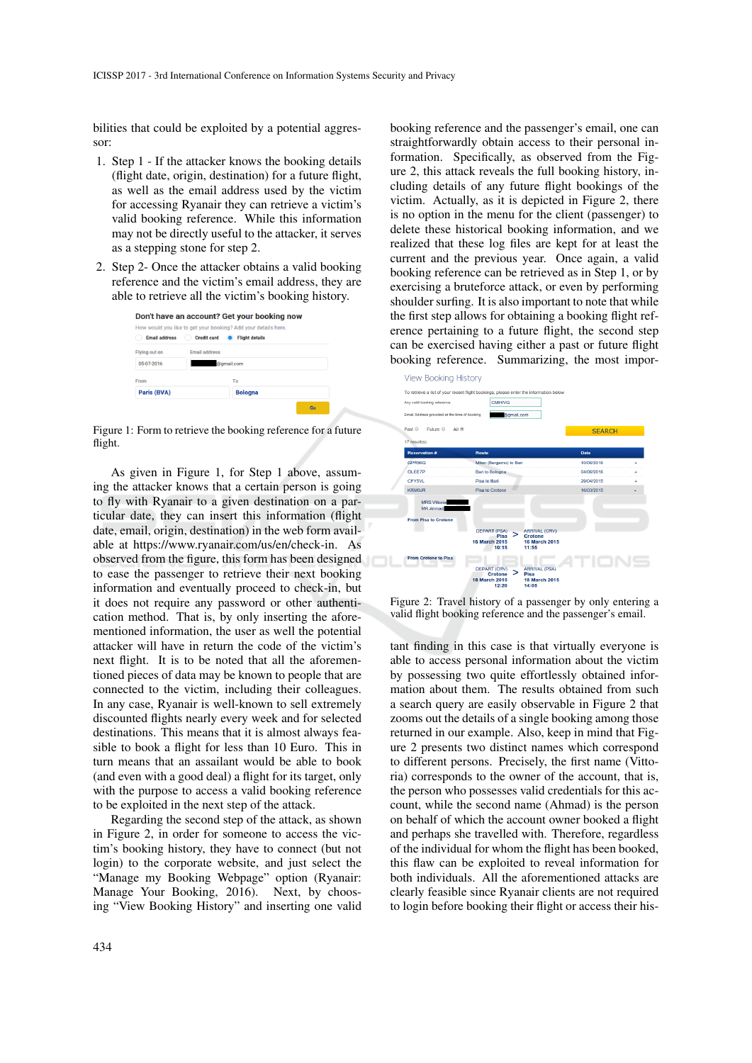bilities that could be exploited by a potential aggressor:

- 1. Step 1 If the attacker knows the booking details (flight date, origin, destination) for a future flight, as well as the email address used by the victim for accessing Ryanair they can retrieve a victim's valid booking reference. While this information may not be directly useful to the attacker, it serves as a stepping stone for step 2.
- 2. Step 2- Once the attacker obtains a valid booking reference and the victim's email address, they are able to retrieve all the victim's booking history.

| Don't have an account? Get your booking now |                                                                                                               |  |  |  |  |  |  |  |  |
|---------------------------------------------|---------------------------------------------------------------------------------------------------------------|--|--|--|--|--|--|--|--|
| <b>Email address</b>                        | How would you like to get your booking? Add your details here.<br><b>Credit card</b><br><b>Flight details</b> |  |  |  |  |  |  |  |  |
| Flying out on                               | <b>Email address</b>                                                                                          |  |  |  |  |  |  |  |  |
| 05-07-2016                                  | @gmail.com                                                                                                    |  |  |  |  |  |  |  |  |
| From                                        | To                                                                                                            |  |  |  |  |  |  |  |  |
| Paris (BVA)                                 | <b>Bologna</b>                                                                                                |  |  |  |  |  |  |  |  |
|                                             | Go                                                                                                            |  |  |  |  |  |  |  |  |

Figure 1: Form to retrieve the booking reference for a future flight.

As given in Figure 1, for Step 1 above, assuming the attacker knows that a certain person is going to fly with Ryanair to a given destination on a particular date, they can insert this information (flight date, email, origin, destination) in the web form available at https://www.ryanair.com/us/en/check-in. As observed from the figure, this form has been designed to ease the passenger to retrieve their next booking information and eventually proceed to check-in, but it does not require any password or other authentication method. That is, by only inserting the aforementioned information, the user as well the potential attacker will have in return the code of the victim's next flight. It is to be noted that all the aforementioned pieces of data may be known to people that are connected to the victim, including their colleagues. In any case, Ryanair is well-known to sell extremely discounted flights nearly every week and for selected destinations. This means that it is almost always feasible to book a flight for less than 10 Euro. This in turn means that an assailant would be able to book (and even with a good deal) a flight for its target, only with the purpose to access a valid booking reference to be exploited in the next step of the attack.

Regarding the second step of the attack, as shown in Figure 2, in order for someone to access the victim's booking history, they have to connect (but not login) to the corporate website, and just select the "Manage my Booking Webpage" option (Ryanair: Manage Your Booking, 2016). Next, by choosing "View Booking History" and inserting one valid

booking reference and the passenger's email, one can straightforwardly obtain access to their personal information. Specifically, as observed from the Figure 2, this attack reveals the full booking history, including details of any future flight bookings of the victim. Actually, as it is depicted in Figure 2, there is no option in the menu for the client (passenger) to delete these historical booking information, and we realized that these log files are kept for at least the current and the previous year. Once again, a valid booking reference can be retrieved as in Step 1, or by exercising a bruteforce attack, or even by performing shoulder surfing. It is also important to note that while the first step allows for obtaining a booking flight reference pertaining to a future flight, the second step can be exercised having either a past or future flight booking reference. Summarizing, the most impor-



Figure 2: Travel history of a passenger by only entering a valid flight booking reference and the passenger's email.

tant finding in this case is that virtually everyone is able to access personal information about the victim by possessing two quite effortlessly obtained information about them. The results obtained from such a search query are easily observable in Figure 2 that zooms out the details of a single booking among those returned in our example. Also, keep in mind that Figure 2 presents two distinct names which correspond to different persons. Precisely, the first name (Vittoria) corresponds to the owner of the account, that is, the person who possesses valid credentials for this account, while the second name (Ahmad) is the person on behalf of which the account owner booked a flight and perhaps she travelled with. Therefore, regardless of the individual for whom the flight has been booked, this flaw can be exploited to reveal information for both individuals. All the aforementioned attacks are clearly feasible since Ryanair clients are not required to login before booking their flight or access their his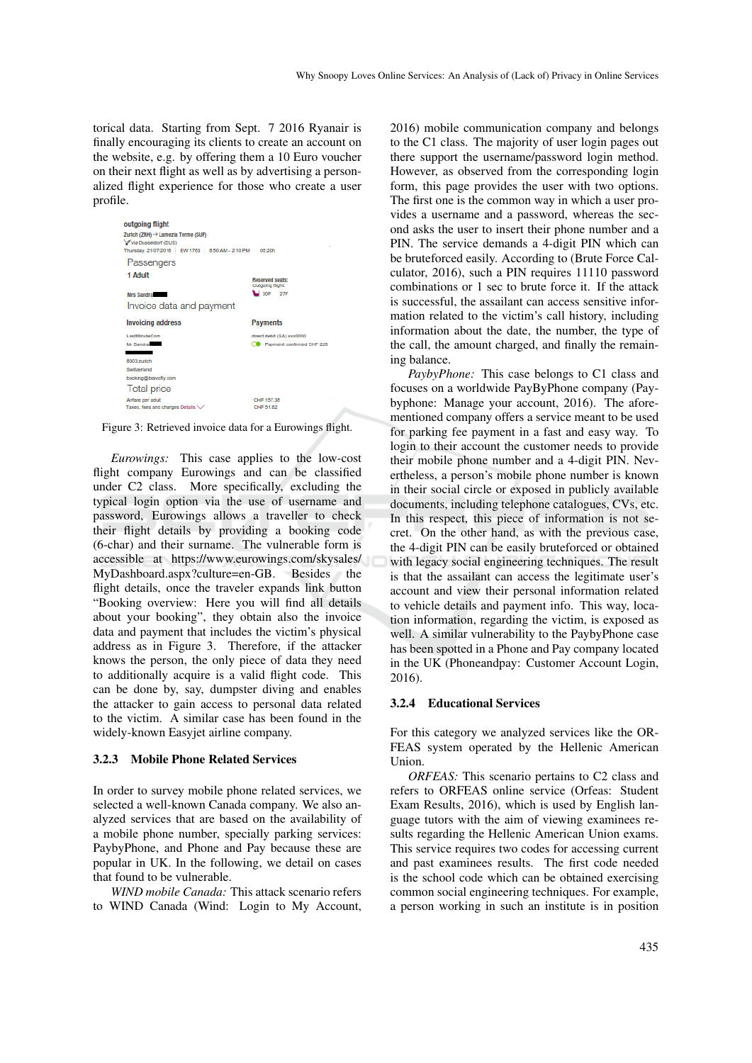torical data. Starting from Sept. 7 2016 Ryanair is finally encouraging its clients to create an account on the website, e.g. by offering them a 10 Euro voucher on their next flight as well as by advertising a personalized flight experience for those who create a user profile.



Figure 3: Retrieved invoice data for a Eurowings flight.

*Eurowings:* This case applies to the low-cost flight company Eurowings and can be classified under C2 class. More specifically, excluding the typical login option via the use of username and password, Eurowings allows a traveller to check their flight details by providing a booking code (6-char) and their surname. The vulnerable form is accessible at https://www.eurowings.com/skysales/ MyDashboard.aspx?culture=en-GB. Besides the flight details, once the traveler expands link button "Booking overview: Here you will find all details about your booking", they obtain also the invoice data and payment that includes the victim's physical address as in Figure 3. Therefore, if the attacker knows the person, the only piece of data they need to additionally acquire is a valid flight code. This can be done by, say, dumpster diving and enables the attacker to gain access to personal data related to the victim. A similar case has been found in the widely-known Easyjet airline company.

#### 3.2.3 Mobile Phone Related Services

In order to survey mobile phone related services, we selected a well-known Canada company. We also analyzed services that are based on the availability of a mobile phone number, specially parking services: PaybyPhone, and Phone and Pay because these are popular in UK. In the following, we detail on cases that found to be vulnerable.

*WIND mobile Canada:* This attack scenario refers to WIND Canada (Wind: Login to My Account,

2016) mobile communication company and belongs to the C1 class. The majority of user login pages out there support the username/password login method. However, as observed from the corresponding login form, this page provides the user with two options. The first one is the common way in which a user provides a username and a password, whereas the second asks the user to insert their phone number and a PIN. The service demands a 4-digit PIN which can be bruteforced easily. According to (Brute Force Calculator, 2016), such a PIN requires 11110 password combinations or 1 sec to brute force it. If the attack is successful, the assailant can access sensitive information related to the victim's call history, including information about the date, the number, the type of the call, the amount charged, and finally the remaining balance.

*PaybyPhone:* This case belongs to C1 class and focuses on a worldwide PayByPhone company (Paybyphone: Manage your account, 2016). The aforementioned company offers a service meant to be used for parking fee payment in a fast and easy way. To login to their account the customer needs to provide their mobile phone number and a 4-digit PIN. Nevertheless, a person's mobile phone number is known in their social circle or exposed in publicly available documents, including telephone catalogues, CVs, etc. In this respect, this piece of information is not secret. On the other hand, as with the previous case, the 4-digit PIN can be easily bruteforced or obtained with legacy social engineering techniques. The result is that the assailant can access the legitimate user's account and view their personal information related to vehicle details and payment info. This way, location information, regarding the victim, is exposed as well. A similar vulnerability to the PaybyPhone case has been spotted in a Phone and Pay company located in the UK (Phoneandpay: Customer Account Login, 2016).

#### 3.2.4 Educational Services

For this category we analyzed services like the OR-FEAS system operated by the Hellenic American Union.

*ORFEAS:* This scenario pertains to C2 class and refers to ORFEAS online service (Orfeas: Student Exam Results, 2016), which is used by English language tutors with the aim of viewing examinees results regarding the Hellenic American Union exams. This service requires two codes for accessing current and past examinees results. The first code needed is the school code which can be obtained exercising common social engineering techniques. For example, a person working in such an institute is in position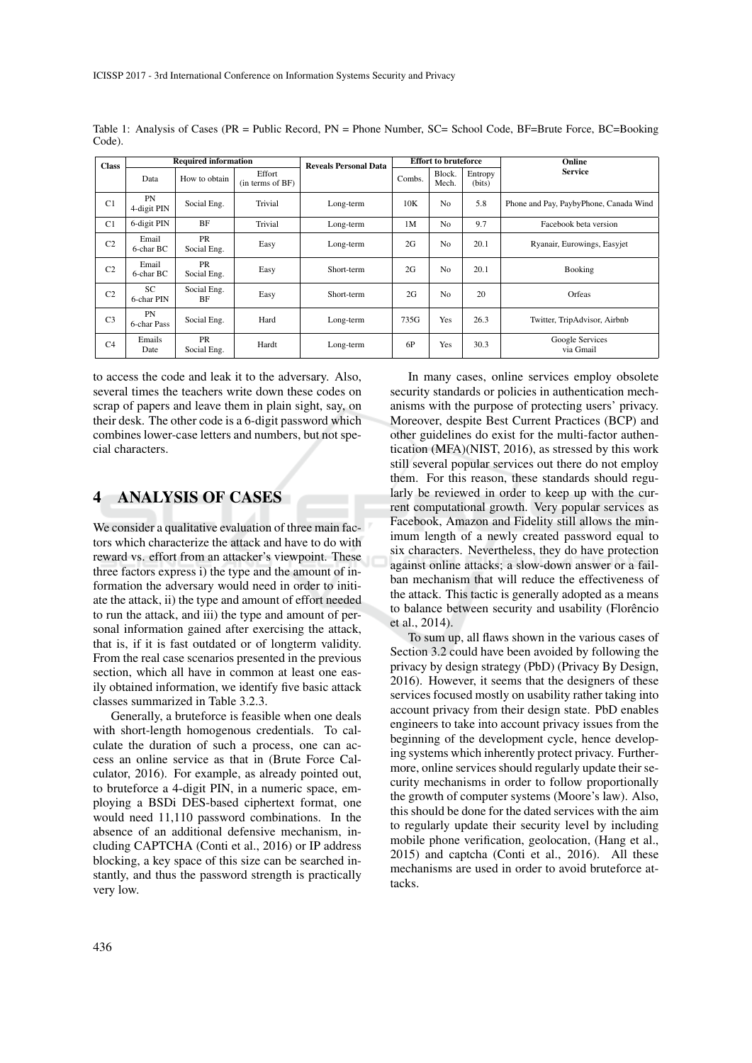| <b>Class</b>   | <b>Required information</b> |                   |                            | <b>Reveals Personal Data</b> | <b>Effort to bruteforce</b> |                 |                   | Online                                 |
|----------------|-----------------------------|-------------------|----------------------------|------------------------------|-----------------------------|-----------------|-------------------|----------------------------------------|
|                | Data                        | How to obtain     | Effort<br>(in terms of BF) |                              | Combs.                      | Block.<br>Mech. | Entropy<br>(bits) | <b>Service</b>                         |
| C <sub>1</sub> | PN<br>4-digit PIN           | Social Eng.       | Trivial                    | Long-term                    | 10K                         | N <sub>0</sub>  | 5.8               | Phone and Pay, PaybyPhone, Canada Wind |
| C <sub>1</sub> | 6-digit PIN                 | BF                | Trivial                    | Long-term                    | 1 <sub>M</sub>              | N <sub>0</sub>  | 9.7               | Facebook beta version                  |
| C <sub>2</sub> | Email<br>6-char BC          | PR<br>Social Eng. | Easy                       | Long-term                    | 2G                          | N <sub>0</sub>  | 20.1              | Ryanair, Eurowings, Easyjet            |
| C <sub>2</sub> | Email<br>6-char BC          | PR<br>Social Eng. | Easy                       | Short-term                   | 2G                          | N <sub>0</sub>  | 20.1              | Booking                                |
| C <sub>2</sub> | <b>SC</b><br>6-char PIN     | Social Eng.<br>BF | Easy                       | Short-term                   | 2G                          | N <sub>0</sub>  | 20                | Orfeas                                 |
| C <sub>3</sub> | <b>PN</b><br>6-char Pass    | Social Eng.       | Hard                       | Long-term                    | 735G                        | Yes             | 26.3              | Twitter, TripAdvisor, Airbnb           |
| C <sub>4</sub> | Emails<br>Date              | PR<br>Social Eng. | Hardt                      | Long-term                    | 6P                          | Yes             | 30.3              | Google Services<br>via Gmail           |

Table 1: Analysis of Cases (PR = Public Record, PN = Phone Number, SC= School Code, BF=Brute Force, BC=Booking Code).

to access the code and leak it to the adversary. Also, several times the teachers write down these codes on scrap of papers and leave them in plain sight, say, on their desk. The other code is a 6-digit password which combines lower-case letters and numbers, but not special characters.

### 4 ANALYSIS OF CASES

We consider a qualitative evaluation of three main factors which characterize the attack and have to do with reward vs. effort from an attacker's viewpoint. These three factors express i) the type and the amount of information the adversary would need in order to initiate the attack, ii) the type and amount of effort needed to run the attack, and iii) the type and amount of personal information gained after exercising the attack, that is, if it is fast outdated or of longterm validity. From the real case scenarios presented in the previous section, which all have in common at least one easily obtained information, we identify five basic attack classes summarized in Table 3.2.3.

Generally, a bruteforce is feasible when one deals with short-length homogenous credentials. To calculate the duration of such a process, one can access an online service as that in (Brute Force Calculator, 2016). For example, as already pointed out, to bruteforce a 4-digit PIN, in a numeric space, employing a BSDi DES-based ciphertext format, one would need 11,110 password combinations. In the absence of an additional defensive mechanism, including CAPTCHA (Conti et al., 2016) or IP address blocking, a key space of this size can be searched instantly, and thus the password strength is practically very low.

In many cases, online services employ obsolete security standards or policies in authentication mechanisms with the purpose of protecting users' privacy. Moreover, despite Best Current Practices (BCP) and other guidelines do exist for the multi-factor authentication (MFA)(NIST, 2016), as stressed by this work still several popular services out there do not employ them. For this reason, these standards should regularly be reviewed in order to keep up with the current computational growth. Very popular services as Facebook, Amazon and Fidelity still allows the minimum length of a newly created password equal to six characters. Nevertheless, they do have protection against online attacks; a slow-down answer or a failban mechanism that will reduce the effectiveness of the attack. This tactic is generally adopted as a means to balance between security and usability (Florêncio et al., 2014).

To sum up, all flaws shown in the various cases of Section 3.2 could have been avoided by following the privacy by design strategy (PbD) (Privacy By Design, 2016). However, it seems that the designers of these services focused mostly on usability rather taking into account privacy from their design state. PbD enables engineers to take into account privacy issues from the beginning of the development cycle, hence developing systems which inherently protect privacy. Furthermore, online services should regularly update their security mechanisms in order to follow proportionally the growth of computer systems (Moore's law). Also, this should be done for the dated services with the aim to regularly update their security level by including mobile phone verification, geolocation, (Hang et al., 2015) and captcha (Conti et al., 2016). All these mechanisms are used in order to avoid bruteforce attacks.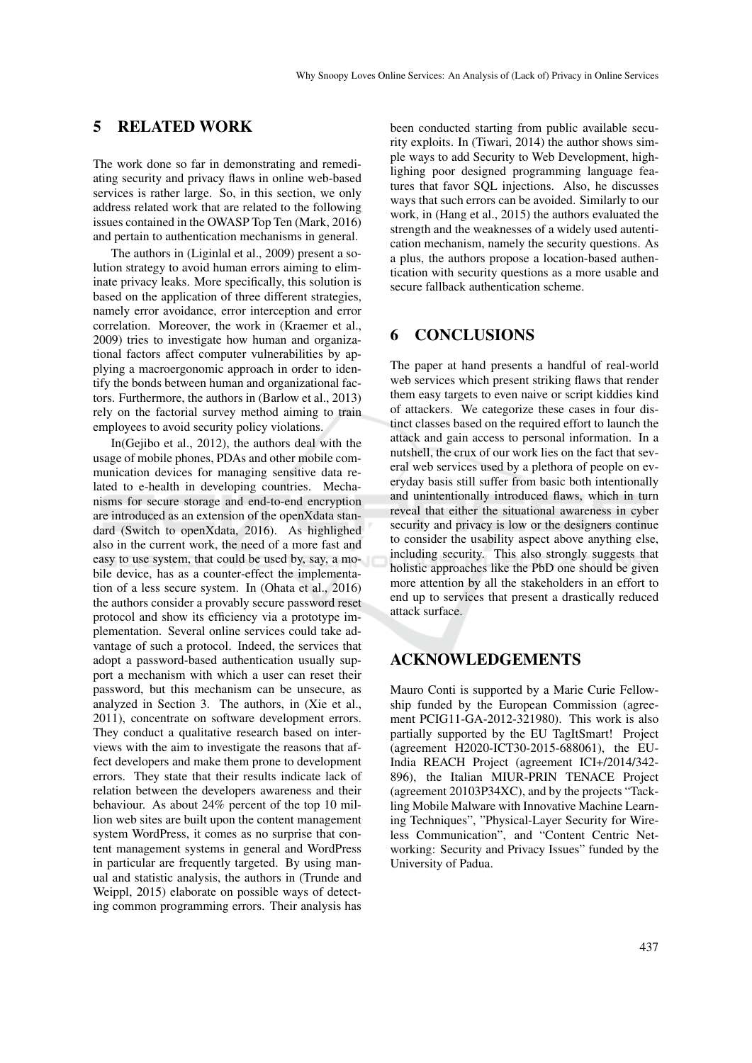## 5 RELATED WORK

The work done so far in demonstrating and remediating security and privacy flaws in online web-based services is rather large. So, in this section, we only address related work that are related to the following issues contained in the OWASP Top Ten (Mark, 2016) and pertain to authentication mechanisms in general.

The authors in (Liginlal et al., 2009) present a solution strategy to avoid human errors aiming to eliminate privacy leaks. More specifically, this solution is based on the application of three different strategies, namely error avoidance, error interception and error correlation. Moreover, the work in (Kraemer et al., 2009) tries to investigate how human and organizational factors affect computer vulnerabilities by applying a macroergonomic approach in order to identify the bonds between human and organizational factors. Furthermore, the authors in (Barlow et al., 2013) rely on the factorial survey method aiming to train employees to avoid security policy violations.

In(Gejibo et al., 2012), the authors deal with the usage of mobile phones, PDAs and other mobile communication devices for managing sensitive data related to e-health in developing countries. Mechanisms for secure storage and end-to-end encryption are introduced as an extension of the openXdata standard (Switch to openXdata, 2016). As highlighed also in the current work, the need of a more fast and easy to use system, that could be used by, say, a mobile device, has as a counter-effect the implementation of a less secure system. In (Ohata et al., 2016) the authors consider a provably secure password reset protocol and show its efficiency via a prototype implementation. Several online services could take advantage of such a protocol. Indeed, the services that adopt a password-based authentication usually support a mechanism with which a user can reset their password, but this mechanism can be unsecure, as analyzed in Section 3. The authors, in (Xie et al., 2011), concentrate on software development errors. They conduct a qualitative research based on interviews with the aim to investigate the reasons that affect developers and make them prone to development errors. They state that their results indicate lack of relation between the developers awareness and their behaviour. As about 24% percent of the top 10 million web sites are built upon the content management system WordPress, it comes as no surprise that content management systems in general and WordPress in particular are frequently targeted. By using manual and statistic analysis, the authors in (Trunde and Weippl, 2015) elaborate on possible ways of detecting common programming errors. Their analysis has

been conducted starting from public available security exploits. In (Tiwari, 2014) the author shows simple ways to add Security to Web Development, highlighing poor designed programming language features that favor SQL injections. Also, he discusses ways that such errors can be avoided. Similarly to our work, in (Hang et al., 2015) the authors evaluated the strength and the weaknesses of a widely used autentication mechanism, namely the security questions. As a plus, the authors propose a location-based authentication with security questions as a more usable and secure fallback authentication scheme.

## 6 CONCLUSIONS

The paper at hand presents a handful of real-world web services which present striking flaws that render them easy targets to even naive or script kiddies kind of attackers. We categorize these cases in four distinct classes based on the required effort to launch the attack and gain access to personal information. In a nutshell, the crux of our work lies on the fact that several web services used by a plethora of people on everyday basis still suffer from basic both intentionally and unintentionally introduced flaws, which in turn reveal that either the situational awareness in cyber security and privacy is low or the designers continue to consider the usability aspect above anything else, including security. This also strongly suggests that holistic approaches like the PbD one should be given more attention by all the stakeholders in an effort to end up to services that present a drastically reduced attack surface.

## ACKNOWLEDGEMENTS

Mauro Conti is supported by a Marie Curie Fellowship funded by the European Commission (agreement PCIG11-GA-2012-321980). This work is also partially supported by the EU TagItSmart! Project (agreement H2020-ICT30-2015-688061), the EU-India REACH Project (agreement ICI+/2014/342- 896), the Italian MIUR-PRIN TENACE Project (agreement 20103P34XC), and by the projects "Tackling Mobile Malware with Innovative Machine Learning Techniques", "Physical-Layer Security for Wireless Communication", and "Content Centric Networking: Security and Privacy Issues" funded by the University of Padua.